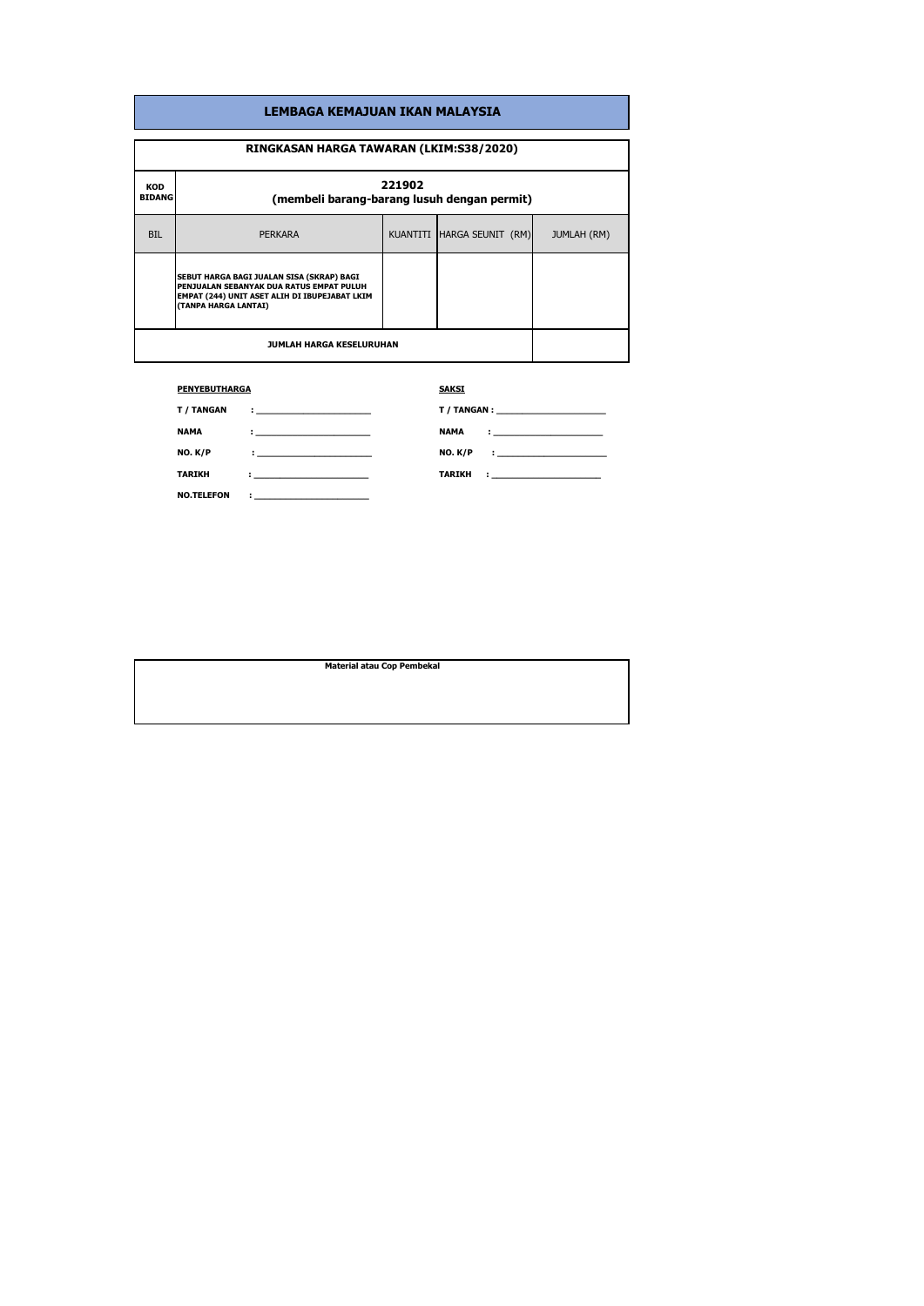| LEMBAGA KEMAJUAN IKAN MALAYSIA          |                                                                                                                                                                |  |                            |                    |
|-----------------------------------------|----------------------------------------------------------------------------------------------------------------------------------------------------------------|--|----------------------------|--------------------|
| RINGKASAN HARGA TAWARAN (LKIM:S38/2020) |                                                                                                                                                                |  |                            |                    |
| KOD<br><b>BIDANG</b>                    | 221902<br>(membeli barang-barang lusuh dengan permit)                                                                                                          |  |                            |                    |
| <b>BIL</b>                              | <b>PERKARA</b>                                                                                                                                                 |  | KUANTITI HARGA SEUNIT (RM) | <b>JUMLAH (RM)</b> |
|                                         | SEBUT HARGA BAGI JUALAN SISA (SKRAP) BAGI<br>PENJUALAN SEBANYAK DUA RATUS EMPAT PULUH<br>EMPAT (244) UNIT ASET ALIH DI IBUPEJABAT LKIM<br>(TANPA HARGA LANTAI) |  |                            |                    |
| <b>JUMLAH HARGA KESELURUHAN</b>         |                                                                                                                                                                |  |                            |                    |

## **PENYEBUTHARGA**

## **SAKSI**

| T / TANGAN        | The contract of the contract of the                     |                                                     |
|-------------------|---------------------------------------------------------|-----------------------------------------------------|
| <b>NAMA</b>       | the company of the company of the company of the        | <b>NAMA</b>                                         |
| NO. K/P           | the company of the company of the                       | <b>NO. K/P</b><br>The company of the company of the |
| <b>TARIKH</b>     | the company of the company of the                       | <b>TARIKH</b><br>the company of the company of      |
| <b>NO.TELEFON</b> | <u> 2008 - Johann Barn, amerikansk politiker (d. 18</u> |                                                     |

**Material atau Cop Pembekal**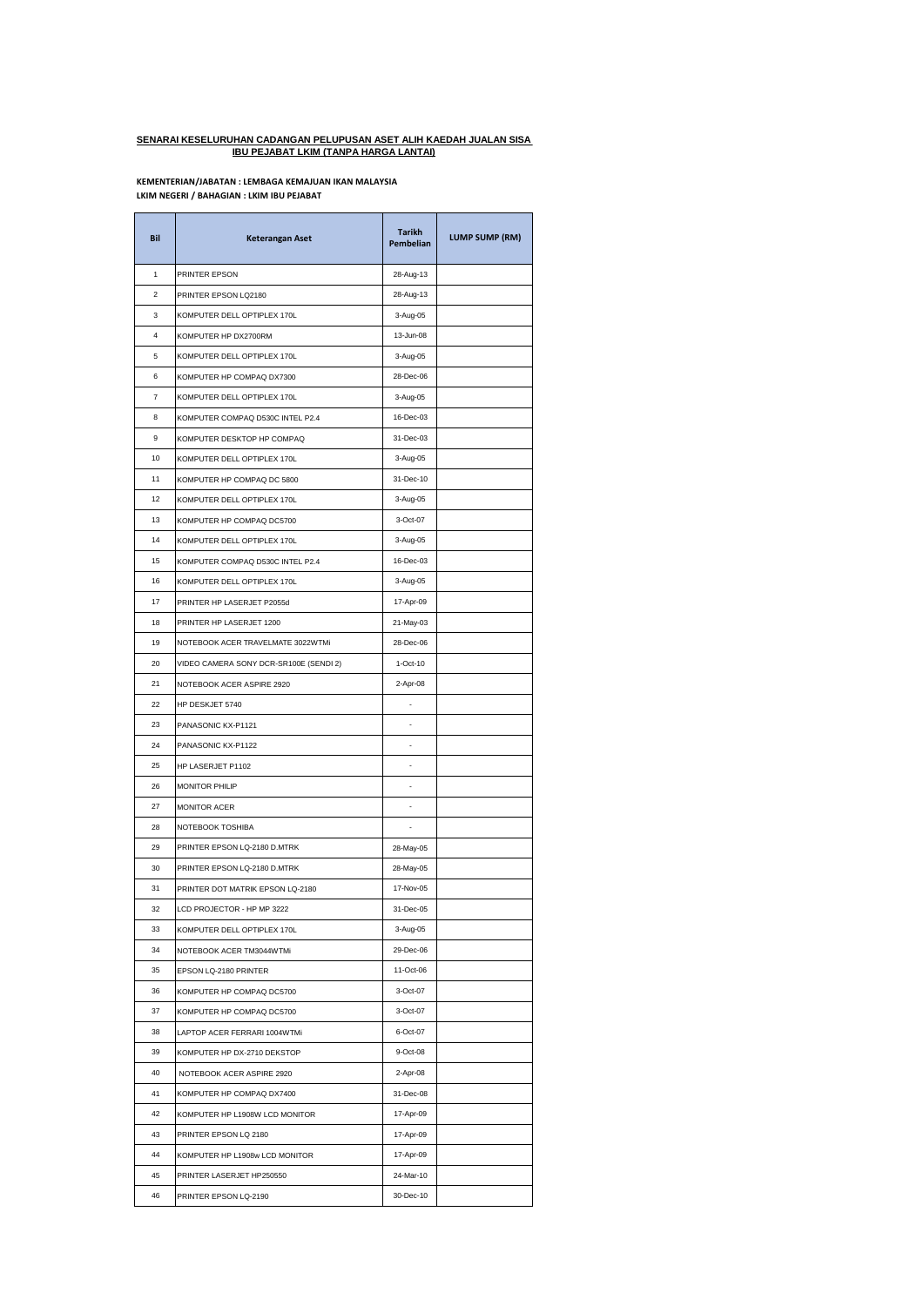## **SENARAI KESELURUHAN CADANGAN PELUPUSAN ASET ALIH KAEDAH JUALAN SISA IBU PEJABAT LKIM (TANPA HARGA LANTAI)**

## **LKIM NEGERI / BAHAGIAN : LKIM IBU PEJABAT KEMENTERIAN/JABATAN : LEMBAGA KEMAJUAN IKAN MALAYSIA**

j.

| Bil | Keterangan Aset                        | Tarikh<br><b>Pembelian</b> | LUMP SUMP (RM) |
|-----|----------------------------------------|----------------------------|----------------|
| 1   | PRINTER EPSON                          | 28-Aug-13                  |                |
| 2   | PRINTER EPSON LQ2180                   | 28-Aug-13                  |                |
| 3   | KOMPUTER DELL OPTIPLEX 170L            | 3-Aug-05                   |                |
| 4   | KOMPUTER HP DX2700RM                   | 13-Jun-08                  |                |
| 5   | KOMPUTER DELL OPTIPLEX 170L            | 3-Aug-05                   |                |
| 6   | KOMPUTER HP COMPAQ DX7300              | 28-Dec-06                  |                |
| 7   | KOMPUTER DELL OPTIPLEX 170L            | 3-Aug-05                   |                |
| 8   | KOMPUTER COMPAQ D530C INTEL P2.4       | 16-Dec-03                  |                |
| 9   | KOMPUTER DESKTOP HP COMPAQ             | 31-Dec-03                  |                |
| 10  | KOMPUTER DELL OPTIPLEX 170L            | 3-Aug-05                   |                |
| 11  | KOMPUTER HP COMPAQ DC 5800             | 31-Dec-10                  |                |
| 12  | KOMPUTER DELL OPTIPLEX 170L            | 3-Aug-05                   |                |
| 13  | KOMPUTER HP COMPAQ DC5700              | 3-Oct-07                   |                |
| 14  | KOMPUTER DELL OPTIPLEX 170L            | 3-Aug-05                   |                |
| 15  | KOMPUTER COMPAQ D530C INTEL P2.4       | 16-Dec-03                  |                |
| 16  | KOMPUTER DELL OPTIPLEX 170L            | 3-Aug-05                   |                |
| 17  | PRINTER HP LASERJET P2055d             | 17-Apr-09                  |                |
| 18  | PRINTER HP LASERJET 1200               | 21-May-03                  |                |
| 19  | NOTEBOOK ACER TRAVELMATE 3022WTMi      | 28-Dec-06                  |                |
| 20  | VIDEO CAMERA SONY DCR-SR100E (SENDI 2) | 1-Oct-10                   |                |
| 21  | NOTEBOOK ACER ASPIRE 2920              | 2-Apr-08                   |                |
| 22  | HP DESKJET 5740                        |                            |                |
| 23  | PANASONIC KX-P1121                     | ä,                         |                |
| 24  | PANASONIC KX-P1122                     |                            |                |
| 25  | HP LASERJET P1102                      |                            |                |
| 26  | <b>MONITOR PHILIP</b>                  |                            |                |
| 27  | <b>MONITOR ACER</b>                    |                            |                |
| 28  | NOTEBOOK TOSHIBA                       |                            |                |
| 29  | PRINTER EPSON LQ-2180 D.MTRK           | 28-May-05                  |                |
| 30  | PRINTER EPSON LQ-2180 D.MTRK           | 28-May-05                  |                |
| 31  | PRINTER DOT MATRIK EPSON LQ-2180       | 17-Nov-05                  |                |
| 32  | LCD PROJECTOR - HP MP 3222             | 31-Dec-05                  |                |
| 33  | KOMPUTER DELL OPTIPLEX 170L            | 3-Aug-05                   |                |
| 34  | NOTEBOOK ACER TM3044WTMi               | 29-Dec-06                  |                |
| 35  | EPSON LQ-2180 PRINTER                  | 11-Oct-06                  |                |
| 36  | KOMPUTER HP COMPAQ DC5700              | 3-Oct-07                   |                |
| 37  | KOMPUTER HP COMPAQ DC5700              | 3-Oct-07                   |                |
| 38  | LAPTOP ACER FERRARI 1004WTMi           | 6-Oct-07                   |                |
| 39  | KOMPUTER HP DX-2710 DEKSTOP            | 9-Oct-08                   |                |
| 40  | NOTEBOOK ACER ASPIRE 2920              | 2-Apr-08                   |                |
| 41  | KOMPUTER HP COMPAQ DX7400              | 31-Dec-08                  |                |
| 42  | KOMPUTER HP L1908W LCD MONITOR         | 17-Apr-09                  |                |
| 43  | PRINTER EPSON LQ 2180                  | 17-Apr-09                  |                |
| 44  | KOMPUTER HP L1908w LCD MONITOR         | 17-Apr-09                  |                |
| 45  | PRINTER LASERJET HP250550              | 24-Mar-10                  |                |
| 46  | PRINTER EPSON LQ-2190                  | 30-Dec-10                  |                |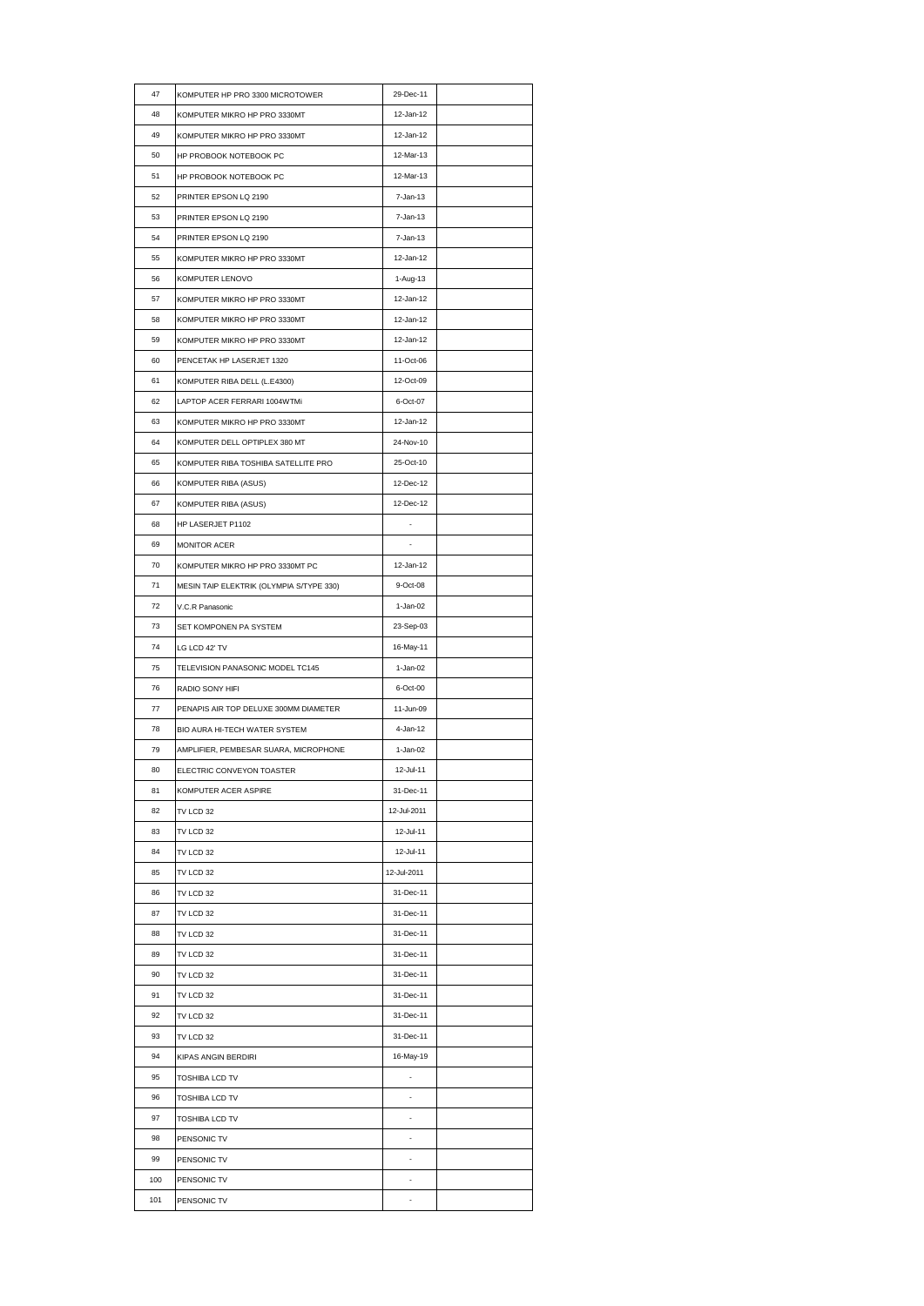| 47  | KOMPUTER HP PRO 3300 MICROTOWER          | 29-Dec-11   |  |
|-----|------------------------------------------|-------------|--|
| 48  | KOMPUTER MIKRO HP PRO 3330MT             | 12-Jan-12   |  |
| 49  | KOMPUTER MIKRO HP PRO 3330MT             | 12-Jan-12   |  |
| 50  | HP PROBOOK NOTEBOOK PC                   | 12-Mar-13   |  |
| 51  | HP PROBOOK NOTEBOOK PC                   | 12-Mar-13   |  |
| 52  | PRINTER EPSON LQ 2190                    | 7-Jan-13    |  |
| 53  | PRINTER EPSON LQ 2190                    | 7-Jan-13    |  |
| 54  | PRINTER EPSON LQ 2190                    | 7-Jan-13    |  |
| 55  | KOMPUTER MIKRO HP PRO 3330MT             | 12-Jan-12   |  |
| 56  | KOMPUTER LENOVO                          | 1-Aug-13    |  |
| 57  | KOMPUTER MIKRO HP PRO 3330MT             | 12-Jan-12   |  |
| 58  | KOMPUTER MIKRO HP PRO 3330MT             | 12-Jan-12   |  |
| 59  | KOMPUTER MIKRO HP PRO 3330MT             | 12-Jan-12   |  |
| 60  | PENCETAK HP LASERJET 1320                | 11-Oct-06   |  |
| 61  | KOMPUTER RIBA DELL (L.E4300)             | 12-Oct-09   |  |
| 62  | LAPTOP ACER FERRARI 1004WTMi             | 6-Oct-07    |  |
| 63  | KOMPUTER MIKRO HP PRO 3330MT             | 12-Jan-12   |  |
| 64  | KOMPUTER DELL OPTIPLEX 380 MT            | 24-Nov-10   |  |
| 65  | KOMPUTER RIBA TOSHIBA SATELLITE PRO      | 25-Oct-10   |  |
| 66  | KOMPUTER RIBA (ASUS)                     | 12-Dec-12   |  |
| 67  | KOMPUTER RIBA (ASUS)                     | 12-Dec-12   |  |
| 68  | HP LASERJET P1102                        |             |  |
| 69  | MONITOR ACER                             |             |  |
| 70  | KOMPUTER MIKRO HP PRO 3330MT PC          | 12-Jan-12   |  |
| 71  | MESIN TAIP ELEKTRIK (OLYMPIA S/TYPE 330) | 9-Oct-08    |  |
| 72  | V.C.R Panasonic                          | 1-Jan-02    |  |
| 73  | SET KOMPONEN PA SYSTEM                   | 23-Sep-03   |  |
| 74  | LG LCD 42' TV                            | 16-May-11   |  |
| 75  | TELEVISION PANASONIC MODEL TC145         | 1-Jan-02    |  |
| 76  | RADIO SONY HIFI                          | 6-Oct-00    |  |
| 77  | PENAPIS AIR TOP DELUXE 300MM DIAMETER    | 11-Jun-09   |  |
| 78  | BIO AURA HI-TECH WATER SYSTEM            | 4-Jan-12    |  |
| 79  | AMPLIFIER, PEMBESAR SUARA, MICROPHONE    | 1-Jan-02    |  |
| 80  | ELECTRIC CONVEYON TOASTER                | 12-Jul-11   |  |
| 81  | KOMPUTER ACER ASPIRE                     | 31-Dec-11   |  |
| 82  | TV LCD 32                                | 12-Jul-2011 |  |
| 83  | TV LCD 32                                | 12-Jul-11   |  |
| 84  | TV LCD 32                                | 12-Jul-11   |  |
| 85  | TV LCD 32                                | 12-Jul-2011 |  |
| 86  | TV LCD 32                                | 31-Dec-11   |  |
| 87  | TV LCD 32                                | 31-Dec-11   |  |
| 88  | TV LCD 32                                | 31-Dec-11   |  |
| 89  | TV LCD 32                                | 31-Dec-11   |  |
| 90  | TV LCD 32                                | 31-Dec-11   |  |
| 91  | TV LCD 32                                | 31-Dec-11   |  |
| 92  | TV LCD 32                                | 31-Dec-11   |  |
| 93  | TV LCD 32                                | 31-Dec-11   |  |
| 94  | KIPAS ANGIN BERDIRI                      | 16-May-19   |  |
| 95  | TOSHIBA LCD TV                           |             |  |
| 96  | TOSHIBA LCD TV                           | ٠           |  |
| 97  | TOSHIBA LCD TV                           | ÷,          |  |
| 98  | PENSONIC TV                              |             |  |
| 99  | PENSONIC TV                              | ÷,          |  |
| 100 | PENSONIC TV                              |             |  |
| 101 | PENSONIC TV                              | ä,          |  |
|     |                                          |             |  |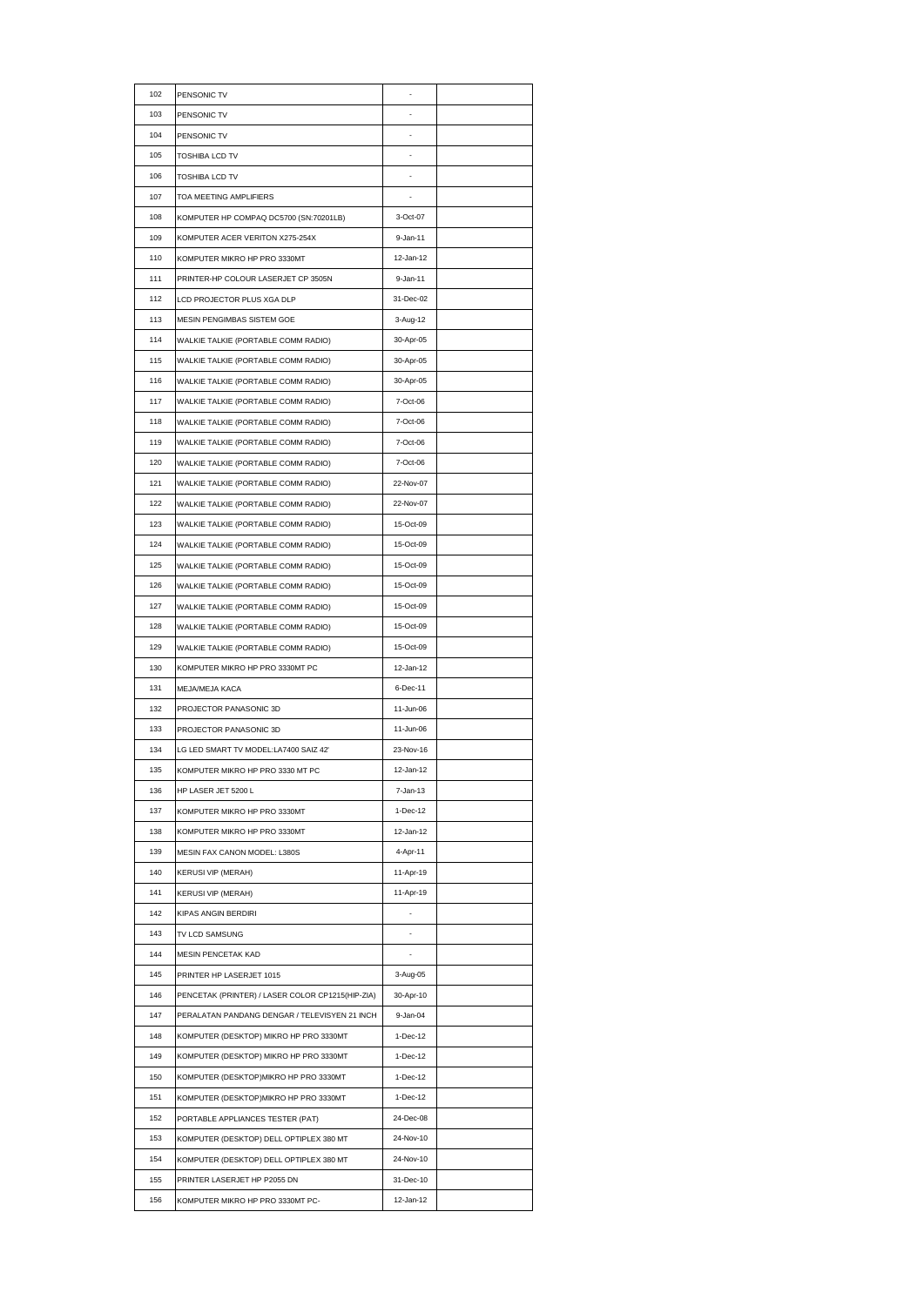| 102 | PENSONIC TV                                      |           |  |
|-----|--------------------------------------------------|-----------|--|
| 103 | PENSONIC TV                                      |           |  |
| 104 | PENSONIC TV                                      |           |  |
| 105 | TOSHIBA LCD TV                                   |           |  |
| 106 | TOSHIBA LCD TV                                   |           |  |
| 107 | TOA MEETING AMPLIFIERS                           |           |  |
| 108 | KOMPUTER HP COMPAQ DC5700 (SN:70201LB)           | 3-Oct-07  |  |
| 109 | KOMPUTER ACER VERITON X275-254X                  | 9-Jan-11  |  |
| 110 | KOMPUTER MIKRO HP PRO 3330MT                     | 12-Jan-12 |  |
| 111 | PRINTER-HP COLOUR LASERJET CP 3505N              | 9-Jan-11  |  |
| 112 | LCD PROJECTOR PLUS XGA DLP                       | 31-Dec-02 |  |
| 113 | MESIN PENGIMBAS SISTEM GOE                       | 3-Aug-12  |  |
| 114 | WALKIE TALKIE (PORTABLE COMM RADIO)              | 30-Apr-05 |  |
| 115 | WALKIE TALKIE (PORTABLE COMM RADIO)              | 30-Apr-05 |  |
| 116 | WALKIE TALKIE (PORTABLE COMM RADIO)              | 30-Apr-05 |  |
| 117 | WALKIE TALKIE (PORTABLE COMM RADIO)              | 7-Oct-06  |  |
| 118 | WALKIE TALKIE (PORTABLE COMM RADIO)              | 7-Oct-06  |  |
| 119 | WALKIE TALKIE (PORTABLE COMM RADIO)              | 7-Oct-06  |  |
| 120 | WALKIE TALKIE (PORTABLE COMM RADIO)              | 7-Oct-06  |  |
| 121 | WALKIE TALKIE (PORTABLE COMM RADIO)              | 22-Nov-07 |  |
| 122 | WALKIE TALKIE (PORTABLE COMM RADIO)              | 22-Nov-07 |  |
| 123 | WALKIE TALKIE (PORTABLE COMM RADIO)              | 15-Oct-09 |  |
| 124 | WALKIE TALKIE (PORTABLE COMM RADIO)              | 15-Oct-09 |  |
| 125 | WALKIE TALKIE (PORTABLE COMM RADIO)              | 15-Oct-09 |  |
| 126 | WALKIE TALKIE (PORTABLE COMM RADIO)              | 15-Oct-09 |  |
| 127 | WALKIE TALKIE (PORTABLE COMM RADIO)              | 15-Oct-09 |  |
| 128 | WALKIE TALKIE (PORTABLE COMM RADIO)              | 15-Oct-09 |  |
| 129 | WALKIE TALKIE (PORTABLE COMM RADIO)              | 15-Oct-09 |  |
| 130 | KOMPUTER MIKRO HP PRO 3330MT PC                  | 12-Jan-12 |  |
| 131 | MEJA/MEJA KACA                                   | 6-Dec-11  |  |
| 132 | PROJECTOR PANASONIC 3D                           | 11-Jun-06 |  |
| 133 | PROJECTOR PANASONIC 3D                           | 11-Jun-06 |  |
| 134 | LG LED SMART TV MODEL:LA7400 SAIZ 42'            | 23-Nov-16 |  |
| 135 | KOMPUTER MIKRO HP PRO 3330 MT PC                 | 12-Jan-12 |  |
| 136 | HP LASER JET 5200 L                              | 7-Jan-13  |  |
| 137 |                                                  | 1-Dec-12  |  |
|     | KOMPUTER MIKRO HP PRO 3330MT                     | 12-Jan-12 |  |
| 138 | KOMPUTER MIKRO HP PRO 3330MT                     |           |  |
| 139 | MESIN FAX CANON MODEL: L380S                     | 4-Apr-11  |  |
| 140 | <b>KERUSI VIP (MERAH)</b>                        | 11-Apr-19 |  |
| 141 | <b>KERUSI VIP (MERAH)</b>                        | 11-Apr-19 |  |
| 142 | KIPAS ANGIN BERDIRI                              |           |  |
| 143 | TV LCD SAMSUNG                                   |           |  |
| 144 | MESIN PENCETAK KAD                               |           |  |
| 145 | PRINTER HP LASERJET 1015                         | 3-Aug-05  |  |
| 146 | PENCETAK (PRINTER) / LASER COLOR CP1215(HIP-ZIA) | 30-Apr-10 |  |
| 147 | PERALATAN PANDANG DENGAR / TELEVISYEN 21 INCH    | 9-Jan-04  |  |
| 148 | KOMPUTER (DESKTOP) MIKRO HP PRO 3330MT           | 1-Dec-12  |  |
| 149 | KOMPUTER (DESKTOP) MIKRO HP PRO 3330MT           | 1-Dec-12  |  |
| 150 | KOMPUTER (DESKTOP)MIKRO HP PRO 3330MT            | 1-Dec-12  |  |
| 151 | KOMPUTER (DESKTOP)MIKRO HP PRO 3330MT            | 1-Dec-12  |  |
| 152 | PORTABLE APPLIANCES TESTER (PAT)                 | 24-Dec-08 |  |
| 153 | KOMPUTER (DESKTOP) DELL OPTIPLEX 380 MT          | 24-Nov-10 |  |
| 154 | KOMPUTER (DESKTOP) DELL OPTIPLEX 380 MT          | 24-Nov-10 |  |
| 155 | PRINTER LASERJET HP P2055 DN                     | 31-Dec-10 |  |
| 156 | KOMPUTER MIKRO HP PRO 3330MT PC-                 | 12-Jan-12 |  |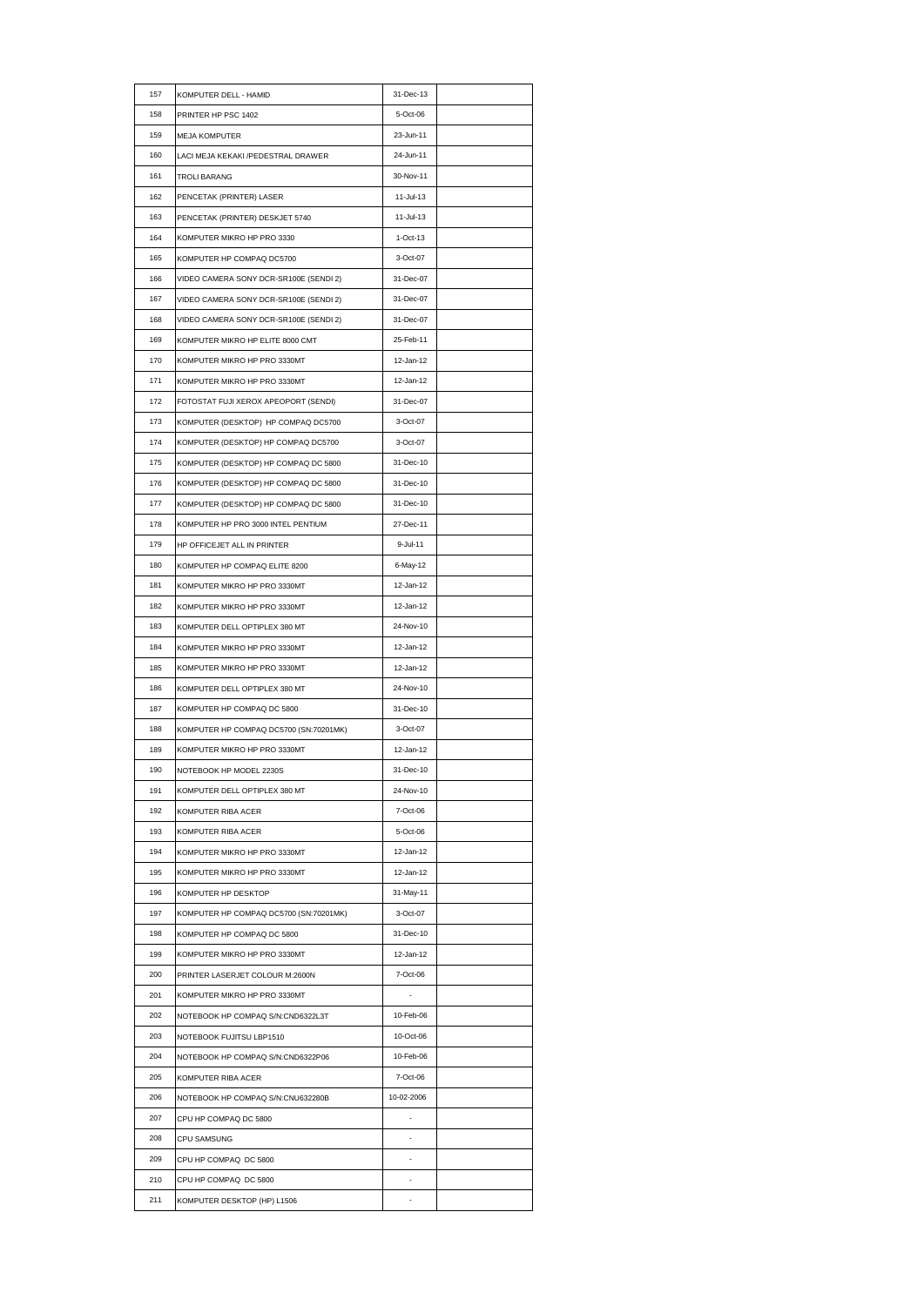| 157 | KOMPUTER DELL - HAMID                  | 31-Dec-13  |  |
|-----|----------------------------------------|------------|--|
| 158 | PRINTER HP PSC 1402                    | 5-Oct-06   |  |
| 159 | <b>MEJA KOMPUTER</b>                   | 23-Jun-11  |  |
| 160 | LACI MEJA KEKAKI /PEDESTRAL DRAWER     | 24-Jun-11  |  |
| 161 | <b>TROLI BARANG</b>                    | 30-Nov-11  |  |
| 162 | PENCETAK (PRINTER) LASER               | 11-Jul-13  |  |
| 163 | PENCETAK (PRINTER) DESKJET 5740        | 11-Jul-13  |  |
| 164 | KOMPUTER MIKRO HP PRO 3330             | $1-Oct-13$ |  |
| 165 | KOMPUTER HP COMPAQ DC5700              | 3-Oct-07   |  |
| 166 | VIDEO CAMERA SONY DCR-SR100E (SENDI 2) | 31-Dec-07  |  |
| 167 | VIDEO CAMERA SONY DCR-SR100E (SENDI 2) | 31-Dec-07  |  |
| 168 | VIDEO CAMERA SONY DCR-SR100E (SENDI 2) | 31-Dec-07  |  |
| 169 | KOMPUTER MIKRO HP ELITE 8000 CMT       | 25-Feb-11  |  |
| 170 | KOMPUTER MIKRO HP PRO 3330MT           | 12-Jan-12  |  |
| 171 | KOMPUTER MIKRO HP PRO 3330MT           | 12-Jan-12  |  |
| 172 | FOTOSTAT FUJI XEROX APEOPORT (SENDI)   | 31-Dec-07  |  |
| 173 | KOMPUTER (DESKTOP) HP COMPAQ DC5700    | 3-Oct-07   |  |
| 174 | KOMPUTER (DESKTOP) HP COMPAQ DC5700    | 3-Oct-07   |  |
| 175 | KOMPUTER (DESKTOP) HP COMPAQ DC 5800   | 31-Dec-10  |  |
| 176 | KOMPUTER (DESKTOP) HP COMPAQ DC 5800   | 31-Dec-10  |  |
| 177 | KOMPUTER (DESKTOP) HP COMPAQ DC 5800   | 31-Dec-10  |  |
| 178 | KOMPUTER HP PRO 3000 INTEL PENTIUM     | 27-Dec-11  |  |
| 179 | HP OFFICEJET ALL IN PRINTER            | 9-Jul-11   |  |
| 180 | KOMPUTER HP COMPAQ ELITE 8200          | 6-May-12   |  |
| 181 | KOMPUTER MIKRO HP PRO 3330MT           | 12-Jan-12  |  |
| 182 | KOMPUTER MIKRO HP PRO 3330MT           | 12-Jan-12  |  |
| 183 | KOMPUTER DELL OPTIPLEX 380 MT          | 24-Nov-10  |  |
| 184 | KOMPUTER MIKRO HP PRO 3330MT           | 12-Jan-12  |  |
| 185 | KOMPUTER MIKRO HP PRO 3330MT           | 12-Jan-12  |  |
| 186 | KOMPUTER DELL OPTIPLEX 380 MT          | 24-Nov-10  |  |
| 187 | KOMPUTER HP COMPAQ DC 5800             | 31-Dec-10  |  |
| 188 | KOMPUTER HP COMPAQ DC5700 (SN:70201MK) | 3-Oct-07   |  |
| 189 | KOMPUTER MIKRO HP PRO 3330MT           | 12-Jan-12  |  |
| 190 | NOTEBOOK HP MODEL 2230S                | 31-Dec-10  |  |
| 191 | KOMPUTER DELL OPTIPLEX 380 MT          | 24-Nov-10  |  |
| 192 | KOMPUTER RIBA ACER                     | 7-Oct-06   |  |
| 193 | KOMPUTER RIBA ACER                     | 5-Oct-06   |  |
| 194 | KOMPUTER MIKRO HP PRO 3330MT           | 12-Jan-12  |  |
| 195 | KOMPUTER MIKRO HP PRO 3330MT           | 12-Jan-12  |  |
| 196 | KOMPUTER HP DESKTOP                    | 31-May-11  |  |
| 197 | KOMPUTER HP COMPAQ DC5700 (SN:70201MK) | 3-Oct-07   |  |
| 198 | KOMPUTER HP COMPAQ DC 5800             | 31-Dec-10  |  |
| 199 | KOMPUTER MIKRO HP PRO 3330MT           | 12-Jan-12  |  |
| 200 | PRINTER LASERJET COLOUR M:2600N        | 7-Oct-06   |  |
| 201 | KOMPUTER MIKRO HP PRO 3330MT           |            |  |
| 202 | NOTEBOOK HP COMPAQ S/N:CND6322L3T      | 10-Feb-06  |  |
| 203 | NOTEBOOK FUJITSU LBP1510               | 10-Oct-06  |  |
| 204 | NOTEBOOK HP COMPAQ S/N:CND6322P06      | 10-Feb-06  |  |
| 205 | KOMPUTER RIBA ACER                     | 7-Oct-06   |  |
| 206 | NOTEBOOK HP COMPAQ S/N:CNU632280B      | 10-02-2006 |  |
| 207 | CPU HP COMPAQ DC 5800                  | ä,         |  |
| 208 | CPU SAMSUNG                            |            |  |
| 209 | CPU HP COMPAQ DC 5800                  | ä,         |  |
| 210 | CPU HP COMPAQ DC 5800                  |            |  |
| 211 | KOMPUTER DESKTOP (HP) L1506            | ۰          |  |